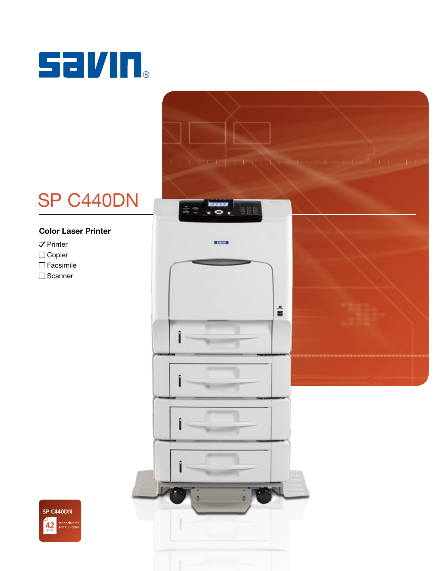

# SP C440DN

## Color Laser Printer

- $\nabla$  Printer
- Copier
- $\Box$  Facsimile
- □ Scanner



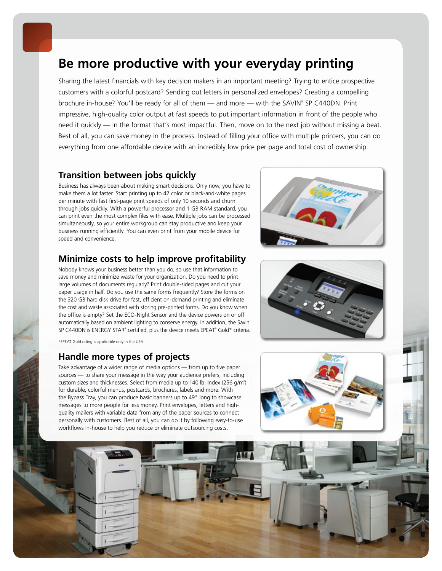# **Be more productive with your everyday printing**

Sharing the latest financials with key decision makers in an important meeting? Trying to entice prospective customers with a colorful postcard? Sending out letters in personalized envelopes? Creating a compelling brochure in-house? You'll be ready for all of them — and more — with the SAVIN® SP C440DN. Print impressive, high-quality color output at fast speeds to put important information in front of the people who need it quickly — in the format that's most impactful. Then, move on to the next job without missing a beat. Best of all, you can save money in the process. Instead of filling your office with multiple printers, you can do everything from one affordable device with an incredibly low price per page and total cost of ownership.

## **Transition between jobs quickly**

Business has always been about making smart decisions. Only now, you have to make them a lot faster. Start printing up to 42 color or black-and-white pages per minute with fast first-page print speeds of only 10 seconds and churn through jobs quickly. With a powerful processor and 1 GB RAM standard, you can print even the most complex files with ease. Multiple jobs can be processed simultaneously, so your entire workgroup can stay productive and keep your business running efficiently. You can even print from your mobile device for speed and convenience.

# **Minimize costs to help improve profitability**

Nobody knows your business better than you do, so use that information to save money and minimize waste for your organization. Do you need to print large volumes of documents regularly? Print double-sided pages and cut your paper usage in half. Do you use the same forms frequently? Store the forms on the 320 GB hard disk drive for fast, efficient on-demand printing and eliminate the cost and waste associated with storing pre-printed forms. Do you know when the office is empty? Set the ECO-Night Sensor and the device powers on or off automatically based on ambient lighting to conserve energy. In addition, the Savin SP C440DN is ENERGY STAR® certified, plus the device meets EPEAT® Gold\* criteria.

\*EPEAT Gold rating is applicable only in the USA.

## **Handle more types of projects**

Take advantage of a wider range of media options — from up to five paper sources — to share your message in the way your audience prefers, including custom sizes and thicknesses. Select from media up to 140 lb. Index (256 g/m<sup>2</sup>) for durable, colorful menus, postcards, brochures, labels and more. With the Bypass Tray, you can produce basic banners up to 49" long to showcase messages to more people for less money. Print envelopes, letters and highquality mailers with variable data from any of the paper sources to connect personally with customers. Best of all, you can do it by following easy-to-use workflows in-house to help you reduce or eliminate outsourcing costs.





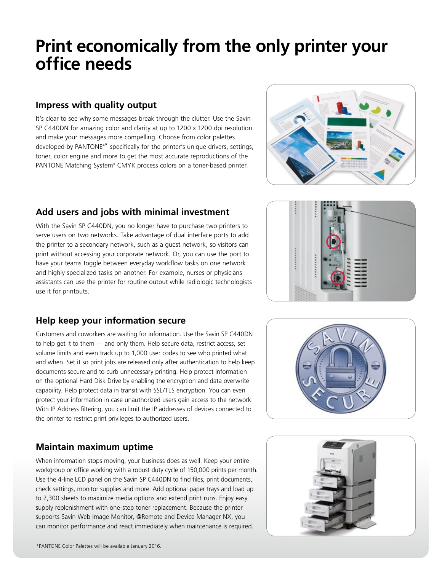# **Print economically from the only printer your office needs**

## **Impress with quality output**

It's clear to see why some messages break through the clutter. Use the Savin SP C440DN for amazing color and clarity at up to 1200 x 1200 dpi resolution and make your messages more compelling. Choose from color palettes developed by PANTONE®\* specifically for the printer's unique drivers, settings, toner, color engine and more to get the most accurate reproductions of the PANTONE Matching System® CMYK process colors on a toner-based printer.



# **Add users and jobs with minimal investment**

With the Savin SP C440DN, you no longer have to purchase two printers to serve users on two networks. Take advantage of dual interface ports to add the printer to a secondary network, such as a guest network, so visitors can print without accessing your corporate network. Or, you can use the port to have your teams toggle between everyday workflow tasks on one network and highly specialized tasks on another. For example, nurses or physicians assistants can use the printer for routine output while radiologic technologists use it for printouts.

# **Help keep your information secure**

Customers and coworkers are waiting for information. Use the Savin SP C440DN to help get it to them — and only them. Help secure data, restrict access, set volume limits and even track up to 1,000 user codes to see who printed what and when. Set it so print jobs are released only after authentication to help keep documents secure and to curb unnecessary printing. Help protect information on the optional Hard Disk Drive by enabling the encryption and data overwrite capability. Help protect data in transit with SSL/TLS encryption. You can even protect your information in case unauthorized users gain access to the network. With IP Address filtering, you can limit the IP addresses of devices connected to the printer to restrict print privileges to authorized users.

# **Maintain maximum uptime**

When information stops moving, your business does as well. Keep your entire workgroup or office working with a robust duty cycle of 150,000 prints per month. Use the 4-line LCD panel on the Savin SP C440DN to find files, print documents, check settings, monitor supplies and more. Add optional paper trays and load up to 2,300 sheets to maximize media options and extend print runs. Enjoy easy supply replenishment with one-step toner replacement. Because the printer supports Savin Web Image Monitor, @Remote and Device Manager NX, you can monitor performance and react immediately when maintenance is required.